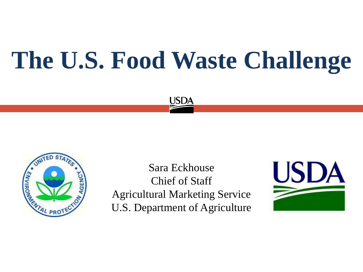# **The U.S. Food Waste Challenge**





Sara Eckhouse Chief of Staff Agricultural Marketing Service U.S. Department of Agriculture

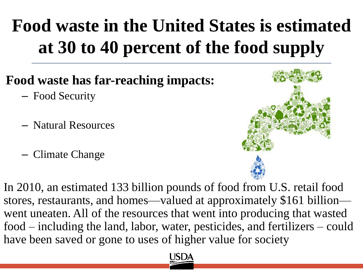#### **Food waste in the United States is estimated at 30 to 40 percent of the food supply \_\_\_\_\_\_\_\_\_\_\_\_\_\_\_\_\_\_\_\_\_\_\_\_\_\_\_\_\_\_\_\_\_\_\_\_\_\_\_\_\_\_\_\_\_\_\_\_\_\_\_\_\_\_\_\_\_\_\_\_\_\_\_\_\_\_\_\_\_\_\_\_\_\_\_\_\_\_\_\_\_\_\_\_\_\_\_\_\_\_\_\_\_\_\_\_\_\_\_\_\_\_\_\_\_\_\_\_**

#### **Food waste has far-reaching impacts:**

- Food Security
- Natural Resources
- Climate Change



In 2010, an estimated 133 billion pounds of food from U.S. retail food stores, restaurants, and homes—valued at approximately \$161 billion went uneaten. All of the resources that went into producing that wasted food – including the land, labor, water, pesticides, and fertilizers – could have been saved or gone to uses of higher value for society

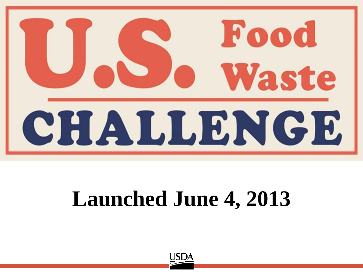

# **Launched June 4, 2013**

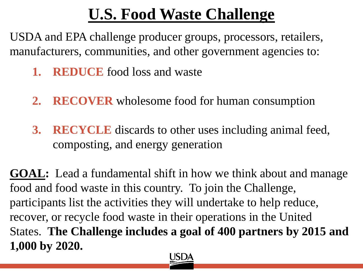### **U.S. Food Waste Challenge**

USDA and EPA challenge producer groups, processors, retailers, manufacturers, communities, and other government agencies to:

- **1. REDUCE** food loss and waste
- **2. RECOVER** wholesome food for human consumption
- **3. RECYCLE** discards to other uses including animal feed, composting, and energy generation

**GOAL:** Lead a fundamental shift in how we think about and manage food and food waste in this country. To join the Challenge, participants list the activities they will undertake to help reduce, recover, or recycle food waste in their operations in the United States. **The Challenge includes a goal of 400 partners by 2015 and 1,000 by 2020.**

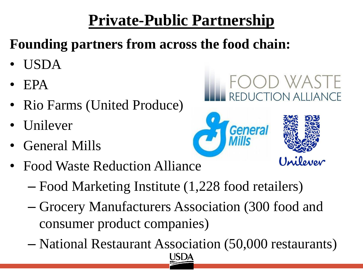## **Private-Public Partnership**

#### **Founding partners from across the food chain:**

- USDA
- EPA
- Rio Farms (United Produce)
- Unilever
- General Mills
- Food Waste Reduction Alliance
	- Food Marketing Institute (1,228 food retailers)
	- Grocery Manufacturers Association (300 food and consumer product companies)
	- National Restaurant Association (50,000 restaurants)

#### D WASTE **UCTION ALLIANCE**



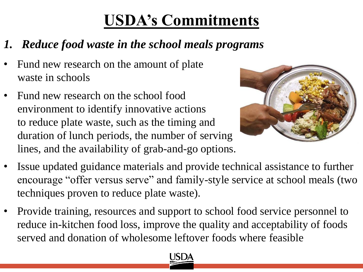- *1. Reduce food waste in the school meals programs*
- Fund new research on the amount of plate waste in schools
- Fund new research on the school food environment to identify innovative actions to reduce plate waste, such as the timing and duration of lunch periods, the number of serving lines, and the availability of grab-and-go options.



- Issue updated guidance materials and provide technical assistance to further encourage "offer versus serve" and family-style service at school meals (two techniques proven to reduce plate waste).
- Provide training, resources and support to school food service personnel to reduce in-kitchen food loss, improve the quality and acceptability of foods served and donation of wholesome leftover foods where feasible

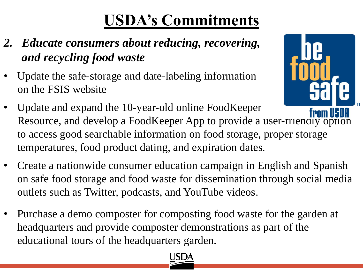- *2. Educate consumers about reducing, recovering, and recycling food waste*
- Update the safe-storage and date-labeling information on the FSIS website



- Update and expand the 10-year-old online FoodKeeper Resource, and develop a FoodKeeper App to provide a user-friendly option to access good searchable information on food storage, proper storage temperatures, food product dating, and expiration dates.
- Create a nationwide consumer education campaign in English and Spanish on safe food storage and food waste for dissemination through social media outlets such as Twitter, podcasts, and YouTube videos.
- Purchase a demo composter for composting food waste for the garden at headquarters and provide composter demonstrations as part of the educational tours of the headquarters garden.

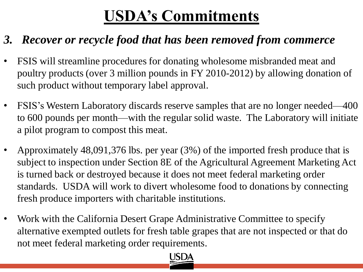#### *3. Recover or recycle food that has been removed from commerce*

- FSIS will streamline procedures for donating wholesome misbranded meat and poultry products (over 3 million pounds in FY 2010-2012) by allowing donation of such product without temporary label approval.
- FSIS's Western Laboratory discards reserve samples that are no longer needed—400 to 600 pounds per month—with the regular solid waste. The Laboratory will initiate a pilot program to compost this meat.
- Approximately 48,091,376 lbs. per year (3%) of the imported fresh produce that is subject to inspection under Section 8E of the Agricultural Agreement Marketing Act is turned back or destroyed because it does not meet federal marketing order standards. USDA will work to divert wholesome food to donations by connecting fresh produce importers with charitable institutions.
- Work with the California Desert Grape Administrative Committee to specify alternative exempted outlets for fresh table grapes that are not inspected or that do not meet federal marketing order requirements.

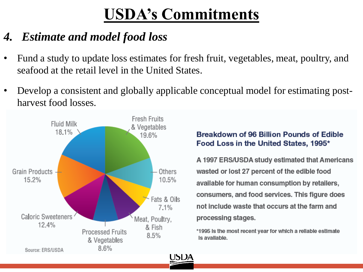#### *4. Estimate and model food loss*

- Fund a study to update loss estimates for fresh fruit, vegetables, meat, poultry, and seafood at the retail level in the United States.
- Develop a consistent and globally applicable conceptual model for estimating postharvest food losses.



#### Breakdown of 96 Billion Pounds of Edible Food Loss in the United States, 1995\*

A 1997 ERS/USDA study estimated that Americans wasted or lost 27 percent of the edible food available for human consumption by retailers, consumers, and food services. This figure does not include waste that occurs at the farm and processing stages.

\*1995 Is the most recent year for which a reliable estimate Is avallable.

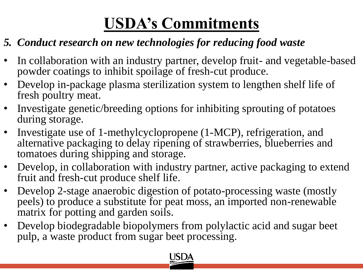#### *5. Conduct research on new technologies for reducing food waste*

- In collaboration with an industry partner, develop fruit- and vegetable-based powder coatings to inhibit spoilage of fresh-cut produce.
- Develop in-package plasma sterilization system to lengthen shelf life of fresh poultry meat.
- Investigate genetic/breeding options for inhibiting sprouting of potatoes during storage.
- Investigate use of 1-methylcyclopropene (1-MCP), refrigeration, and alternative packaging to delay ripening of strawberries, blueberries and tomatoes during shipping and storage.
- Develop, in collaboration with industry partner, active packaging to extend fruit and fresh-cut produce shelf life.
- Develop 2-stage anaerobic digestion of potato-processing waste (mostly peels) to produce a substitute for peat moss, an imported non-renewable matrix for potting and garden soils.
- Develop biodegradable biopolymers from polylactic acid and sugar beet pulp, a waste product from sugar beet processing.

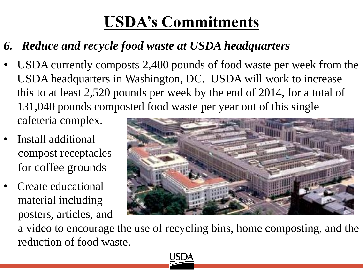#### *6. Reduce and recycle food waste at USDA headquarters*

- USDA currently composts 2,400 pounds of food waste per week from the USDA headquarters in Washington, DC. USDA will work to increase this to at least 2,520 pounds per week by the end of 2014, for a total of 131,040 pounds composted food waste per year out of this single cafeteria complex.
- Install additional compost receptacles for coffee grounds
- Create educational material including posters, articles, and



 a video to encourage the use of recycling bins, home composting, and the reduction of food waste.

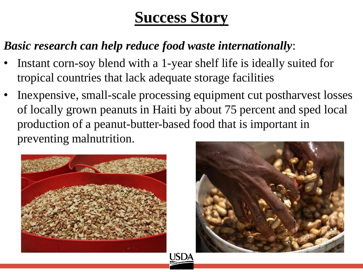#### **Success Story**

#### *Basic research can help reduce food waste internationally*:

- Instant corn-soy blend with a 1-year shelf life is ideally suited for tropical countries that lack adequate storage facilities
- Inexpensive, small-scale processing equipment cut postharvest losses of locally grown peanuts in Haiti by about 75 percent and sped local production of a peanut-butter-based food that is important in preventing malnutrition.